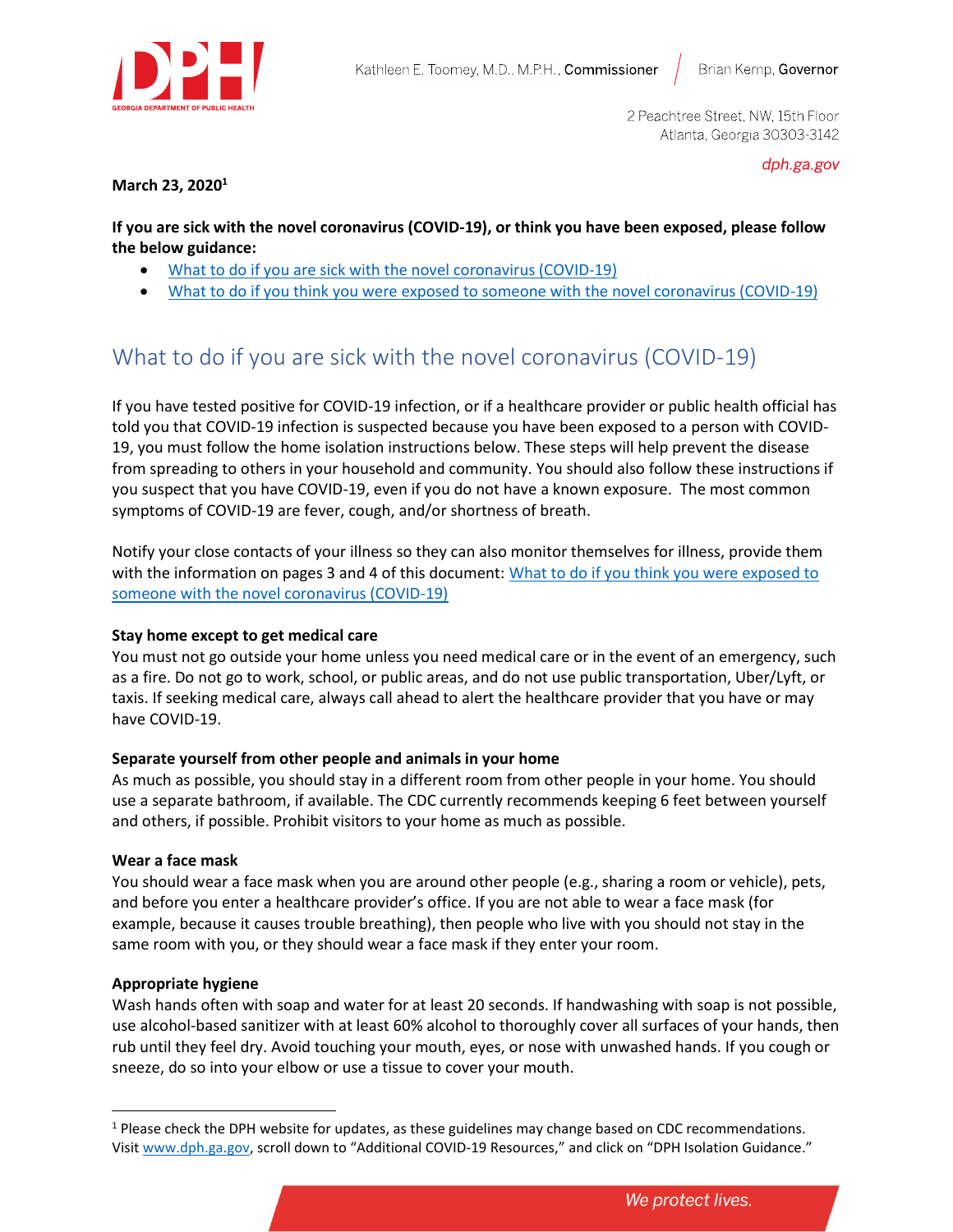

2 Peachtree Street, NW, 15th Floor Atlanta, Georgia 30303-3142

dph.ga.gov

**March 23, 2020<sup>1</sup>**

**If you are sick with the novel coronavirus (COVID-19), or think you have been exposed, please follow the below guidance:** 

- [What to do if you are sick with the novel coronavirus \(COVID-19\)](#page-0-0)
- [What to do if you think you were exposed to someone with the novel coronavirus \(COVID-19\)](#page-2-0)

# <span id="page-0-0"></span>What to do if you are sick with the novel coronavirus (COVID-19)

If you have tested positive for COVID-19 infection, or if a healthcare provider or public health official has told you that COVID-19 infection is suspected because you have been exposed to a person with COVID-19, you must follow the home isolation instructions below. These steps will help prevent the disease from spreading to others in your household and community. You should also follow these instructions if you suspect that you have COVID-19, even if you do not have a known exposure. The most common symptoms of COVID-19 are fever, cough, and/or shortness of breath.

Notify your close contacts of your illness so they can also monitor themselves for illness, provide them with the information on pages 3 and 4 of this document: What to do if you think you were exposed to [someone with the novel coronavirus \(COVID-19\)](#page-2-0) 

# **Stay home except to get medical care**

You must not go outside your home unless you need medical care or in the event of an emergency, such as a fire. Do not go to work, school, or public areas, and do not use public transportation, Uber/Lyft, or taxis. If seeking medical care, always call ahead to alert the healthcare provider that you have or may have COVID-19.

# **Separate yourself from other people and animals in your home**

As much as possible, you should stay in a different room from other people in your home. You should use a separate bathroom, if available. The CDC currently recommends keeping 6 feet between yourself and others, if possible. Prohibit visitors to your home as much as possible.

# **Wear a face mask**

You should wear a face mask when you are around other people (e.g., sharing a room or vehicle), pets, and before you enter a healthcare provider's office. If you are not able to wear a face mask (for example, because it causes trouble breathing), then people who live with you should not stay in the same room with you, or they should wear a face mask if they enter your room.

# **Appropriate hygiene**

Wash hands often with soap and water for at least 20 seconds. If handwashing with soap is not possible, use alcohol-based sanitizer with at least 60% alcohol to thoroughly cover all surfaces of your hands, then rub until they feel dry. Avoid touching your mouth, eyes, or nose with unwashed hands. If you cough or sneeze, do so into your elbow or use a tissue to cover your mouth.

<sup>&</sup>lt;sup>1</sup> Please check the DPH website for updates, as these guidelines may change based on CDC recommendations. Visit [www.dph.ga.gov,](http://www.dph.ga.gov/) scroll down to "Additional COVID-19 Resources," and click on "DPH Isolation Guidance."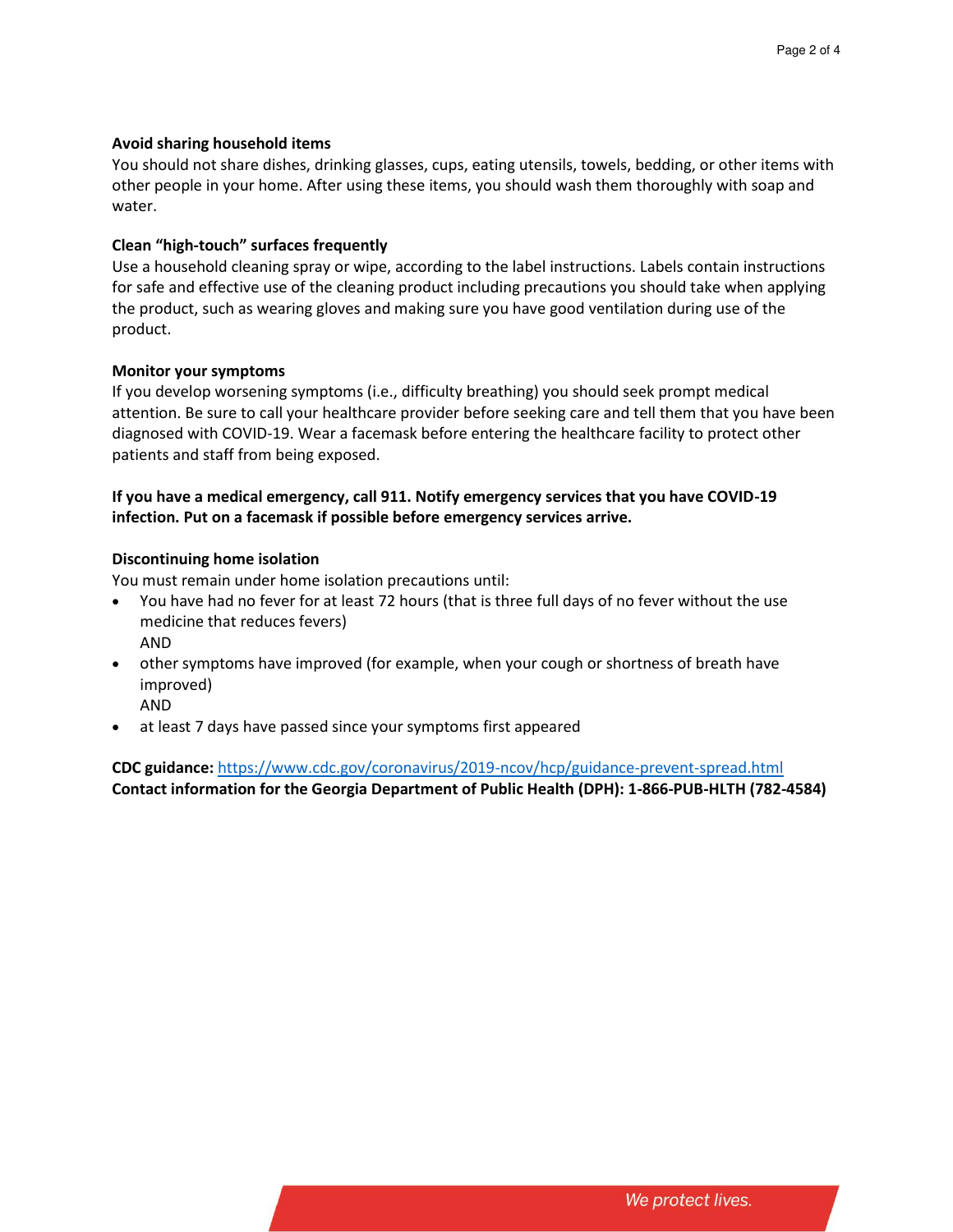#### **Avoid sharing household items**

You should not share dishes, drinking glasses, cups, eating utensils, towels, bedding, or other items with other people in your home. After using these items, you should wash them thoroughly with soap and water.

#### **Clean "high-touch" surfaces frequently**

Use a household cleaning spray or wipe, according to the label instructions. Labels contain instructions for safe and effective use of the cleaning product including precautions you should take when applying the product, such as wearing gloves and making sure you have good ventilation during use of the product.

#### **Monitor your symptoms**

If you develop worsening symptoms (i.e., difficulty breathing) you should seek prompt medical attention. Be sure to call your healthcare provider before seeking care and tell them that you have been diagnosed with COVID-19. Wear a facemask before entering the healthcare facility to protect other patients and staff from being exposed.

# **If you have a medical emergency, call 911. Notify emergency services that you have COVID-19 infection. Put on a facemask if possible before emergency services arrive.**

#### **Discontinuing home isolation**

You must remain under home isolation precautions until:

- You have had no fever for at least 72 hours (that is three full days of no fever without the use medicine that reduces fevers)
	- AND
- other symptoms have improved (for example, when your cough or shortness of breath have improved)
	- AND
- at least 7 days have passed since your symptoms first appeared

**CDC guidance:** <https://www.cdc.gov/coronavirus/2019-ncov/hcp/guidance-prevent-spread.html> **Contact information for the Georgia Department of Public Health (DPH): 1-866-PUB-HLTH (782-4584)**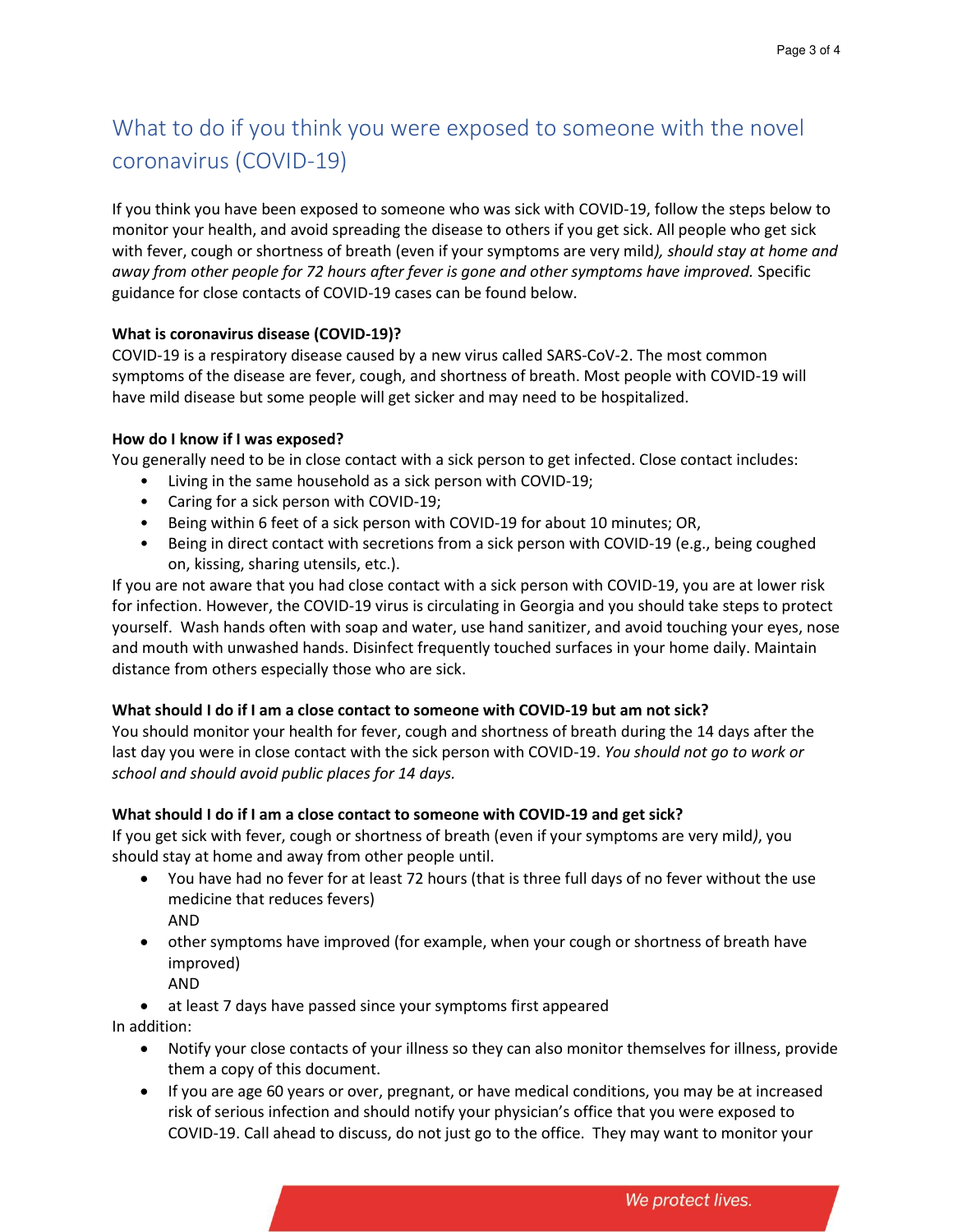# <span id="page-2-0"></span>What to do if you think you were exposed to someone with the novel coronavirus (COVID-19)

If you think you have been exposed to someone who was sick with COVID-19, follow the steps below to monitor your health, and avoid spreading the disease to others if you get sick. All people who get sick with fever, cough or shortness of breath (even if your symptoms are very mild*), should stay at home and away from other people for 72 hours after fever is gone and other symptoms have improved.* Specific guidance for close contacts of COVID-19 cases can be found below.

# **What is coronavirus disease (COVID-19)?**

COVID-19 is a respiratory disease caused by a new virus called SARS-CoV-2. The most common symptoms of the disease are fever, cough, and shortness of breath. Most people with COVID-19 will have mild disease but some people will get sicker and may need to be hospitalized.

# **How do I know if I was exposed?**

You generally need to be in close contact with a sick person to get infected. Close contact includes:

- Living in the same household as a sick person with COVID-19;
- Caring for a sick person with COVID-19;
- Being within 6 feet of a sick person with COVID-19 for about 10 minutes; OR,
- Being in direct contact with secretions from a sick person with COVID-19 (e.g., being coughed on, kissing, sharing utensils, etc.).

If you are not aware that you had close contact with a sick person with COVID-19, you are at lower risk for infection. However, the COVID-19 virus is circulating in Georgia and you should take steps to protect yourself. Wash hands often with soap and water, use hand sanitizer, and avoid touching your eyes, nose and mouth with unwashed hands. Disinfect frequently touched surfaces in your home daily. Maintain distance from others especially those who are sick.

# **What should I do if I am a close contact to someone with COVID-19 but am not sick?**

You should monitor your health for fever, cough and shortness of breath during the 14 days after the last day you were in close contact with the sick person with COVID-19. *You should not go to work or school and should avoid public places for 14 days.*

# **What should I do if I am a close contact to someone with COVID-19 and get sick?**

If you get sick with fever, cough or shortness of breath (even if your symptoms are very mild*)*, you should stay at home and away from other people until.

- You have had no fever for at least 72 hours (that is three full days of no fever without the use medicine that reduces fevers) AND
- other symptoms have improved (for example, when your cough or shortness of breath have improved)
	- AND
- at least 7 days have passed since your symptoms first appeared

In addition:

- Notify your close contacts of your illness so they can also monitor themselves for illness, provide them a copy of this document.
- If you are age 60 years or over, pregnant, or have medical conditions, you may be at increased risk of serious infection and should notify your physician's office that you were exposed to COVID-19. Call ahead to discuss, do not just go to the office. They may want to monitor your